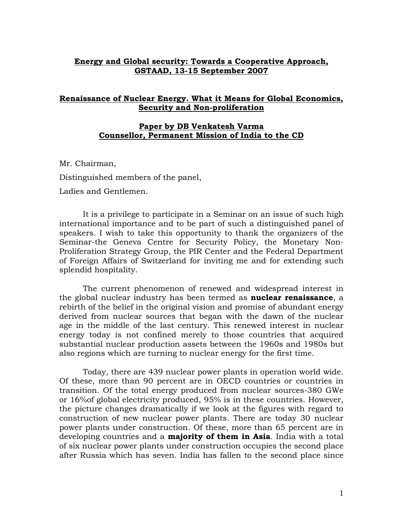## **Energy and Global security: Towards a Cooperative Approach, GSTAAD, 13-15 September 2007**

## **Renaissance of Nuclear Energy. What it Means for Global Economics, Security and Non-proliferation**

## **Paper by DB Venkatesh Varma Counsellor, Permanent Mission of India to the CD**

Mr. Chairman, Distinguished members of the panel, Ladies and Gentlemen.

It is a privilege to participate in a Seminar on an issue of such high international importance and to be part of such a distinguished panel of speakers. I wish to take this opportunity to thank the organizers of the Seminar-the Geneva Centre for Security Policy, the Monetary Non-Proliferation Strategy Group, the PIR Center and the Federal Department of Foreign Affairs of Switzerland for inviting me and for extending such splendid hospitality.

The current phenomenon of renewed and widespread interest in the global nuclear industry has been termed as **nuclear renaissance**, a rebirth of the belief in the original vision and promise of abundant energy derived from nuclear sources that began with the dawn of the nuclear age in the middle of the last century. This renewed interest in nuclear energy today is not confined merely to those countries that acquired substantial nuclear production assets between the 1960s and 1980s but also regions which are turning to nuclear energy for the first time.

Today, there are 439 nuclear power plants in operation world wide. Of these, more than 90 percent are in OECD countries or countries in transition. Of the total energy produced from nuclear sources-380 GWe or 16%of global electricity produced, 95% is in these countries. However, the picture changes dramatically if we look at the figures with regard to construction of new nuclear power plants. There are today 30 nuclear power plants under construction. Of these, more than 65 percent are in developing countries and a **majority of them in Asia**. India with a total of six nuclear power plants under construction occupies the second place after Russia which has seven. India has fallen to the second place since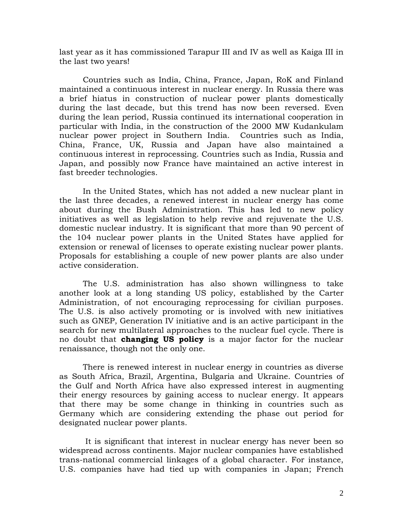last year as it has commissioned Tarapur III and IV as well as Kaiga III in the last two years!

Countries such as India, China, France, Japan, RoK and Finland maintained a continuous interest in nuclear energy. In Russia there was a brief hiatus in construction of nuclear power plants domestically during the last decade, but this trend has now been reversed. Even during the lean period, Russia continued its international cooperation in particular with India, in the construction of the 2000 MW Kudankulam nuclear power project in Southern India. Countries such as India, China, France, UK, Russia and Japan have also maintained a continuous interest in reprocessing. Countries such as India, Russia and Japan, and possibly now France have maintained an active interest in fast breeder technologies.

In the United States, which has not added a new nuclear plant in the last three decades, a renewed interest in nuclear energy has come about during the Bush Administration. This has led to new policy initiatives as well as legislation to help revive and rejuvenate the U.S. domestic nuclear industry. It is significant that more than 90 percent of the 104 nuclear power plants in the United States have applied for extension or renewal of licenses to operate existing nuclear power plants. Proposals for establishing a couple of new power plants are also under active consideration.

The U.S. administration has also shown willingness to take another look at a long standing US policy, established by the Carter Administration, of not encouraging reprocessing for civilian purposes. The U.S. is also actively promoting or is involved with new initiatives such as GNEP, Generation IV initiative and is an active participant in the search for new multilateral approaches to the nuclear fuel cycle. There is no doubt that **changing US policy** is a major factor for the nuclear renaissance, though not the only one.

There is renewed interest in nuclear energy in countries as diverse as South Africa, Brazil, Argentina, Bulgaria and Ukraine. Countries of the Gulf and North Africa have also expressed interest in augmenting their energy resources by gaining access to nuclear energy. It appears that there may be some change in thinking in countries such as Germany which are considering extending the phase out period for designated nuclear power plants.

It is significant that interest in nuclear energy has never been so widespread across continents. Major nuclear companies have established trans-national commercial linkages of a global character. For instance, U.S. companies have had tied up with companies in Japan; French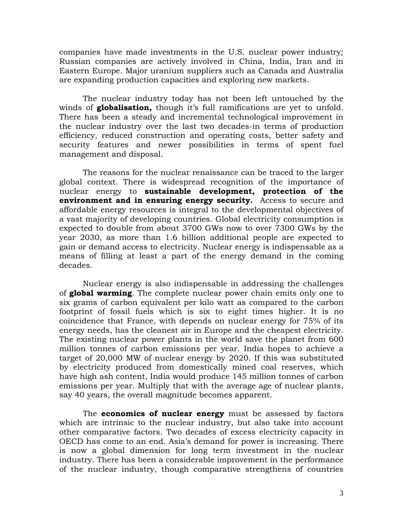companies have made investments in the U.S. nuclear power industry; Russian companies are actively involved in China, India, Iran and in Eastern Europe. Major uranium suppliers such as Canada and Australia are expanding production capacities and exploring new markets.

The nuclear industry today has not been left untouched by the winds of **globalisation,** though it's full ramifications are yet to unfold. There has been a steady and incremental technological improvement in the nuclear industry over the last two decades-in terms of production efficiency, reduced construction and operating costs, better safety and security features and newer possibilities in terms of spent fuel management and disposal.

The reasons for the nuclear renaissance can be traced to the larger global context. There is widespread recognition of the importance of nuclear energy to **sustainable development, protection of the environment and in ensuring energy security.** Access to secure and affordable energy resources is integral to the developmental objectives of a vast majority of developing countries. Global electricity consumption is expected to double from about 3700 GWs now to over 7300 GWs by the year 2030, as more than 1.6 billion additional people are expected to gain or demand access to electricity. Nuclear energy is indispensable as a means of filling at least a part of the energy demand in the coming decades.

Nuclear energy is also indispensable in addressing the challenges of **global warming**. The complete nuclear power chain emits only one to six grams of carbon equivalent per kilo watt as compared to the carbon footprint of fossil fuels which is six to eight times higher. It is no coincidence that France, with depends on nuclear energy for 75% of its energy needs, has the cleanest air in Europe and the cheapest electricity. The existing nuclear power plants in the world save the planet from 600 million tonnes of carbon emissions per year. India hopes to achieve a target of 20,000 MW of nuclear energy by 2020. If this was substituted by electricity produced from domestically mined coal reserves, which have high ash content, India would produce 145 million tonnes of carbon emissions per year. Multiply that with the average age of nuclear plants, say 40 years, the overall magnitude becomes apparent.

The **economics of nuclear energy** must be assessed by factors which are intrinsic to the nuclear industry, but also take into account other comparative factors. Two decades of excess electricity capacity in OECD has come to an end. Asia's demand for power is increasing. There is now a global dimension for long term investment in the nuclear industry. There has been a considerable improvement in the performance of the nuclear industry, though comparative strengthens of countries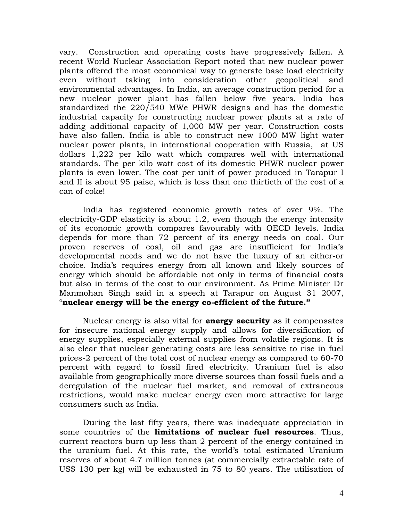vary. Construction and operating costs have progressively fallen. A recent World Nuclear Association Report noted that new nuclear power plants offered the most economical way to generate base load electricity even without taking into consideration other geopolitical and environmental advantages. In India, an average construction period for a new nuclear power plant has fallen below five years. India has standardized the 220/540 MWe PHWR designs and has the domestic industrial capacity for constructing nuclear power plants at a rate of adding additional capacity of 1,000 MW per year. Construction costs have also fallen. India is able to construct new 1000 MW light water nuclear power plants, in international cooperation with Russia, at US dollars 1,222 per kilo watt which compares well with international standards. The per kilo watt cost of its domestic PHWR nuclear power plants is even lower. The cost per unit of power produced in Tarapur I and II is about 95 paise, which is less than one thirtieth of the cost of a can of coke!

India has registered economic growth rates of over 9%. The electricity-GDP elasticity is about 1.2, even though the energy intensity of its economic growth compares favourably with OECD levels. India depends for more than 72 percent of its energy needs on coal. Our proven reserves of coal, oil and gas are insufficient for India's developmental needs and we do not have the luxury of an either-or choice. India's requires energy from all known and likely sources of energy which should be affordable not only in terms of financial costs but also in terms of the cost to our environment. As Prime Minister Dr Manmohan Singh said in a speech at Tarapur on August 31 2007, "**nuclear energy will be the energy co-efficient of the future."**

Nuclear energy is also vital for **energy security** as it compensates for insecure national energy supply and allows for diversification of energy supplies, especially external supplies from volatile regions. It is also clear that nuclear generating costs are less sensitive to rise in fuel prices-2 percent of the total cost of nuclear energy as compared to 60-70 percent with regard to fossil fired electricity. Uranium fuel is also available from geographically more diverse sources than fossil fuels and a deregulation of the nuclear fuel market, and removal of extraneous restrictions, would make nuclear energy even more attractive for large consumers such as India.

During the last fifty years, there was inadequate appreciation in some countries of the **limitations of nuclear fuel resources**. Thus, current reactors burn up less than 2 percent of the energy contained in the uranium fuel. At this rate, the world's total estimated Uranium reserves of about 4.7 million tonnes (at commercially extractable rate of US\$ 130 per kg) will be exhausted in 75 to 80 years. The utilisation of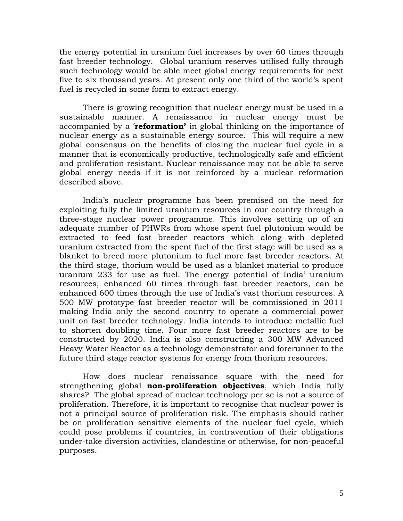the energy potential in uranium fuel increases by over 60 times through fast breeder technology. Global uranium reserves utilised fully through such technology would be able meet global energy requirements for next five to six thousand years. At present only one third of the world's spent fuel is recycled in some form to extract energy.

There is growing recognition that nuclear energy must be used in a sustainable manner. A renaissance in nuclear energy must be accompanied by a '**reformation'** in global thinking on the importance of nuclear energy as a sustainable energy source. This will require a new global consensus on the benefits of closing the nuclear fuel cycle in a manner that is economically productive, technologically safe and efficient and proliferation resistant. Nuclear renaissance may not be able to serve global energy needs if it is not reinforced by a nuclear reformation described above.

India's nuclear programme has been premised on the need for exploiting fully the limited uranium resources in our country through a three-stage nuclear power programme. This involves setting up of an adequate number of PHWRs from whose spent fuel plutonium would be extracted to feed fast breeder reactors which along with depleted uranium extracted from the spent fuel of the first stage will be used as a blanket to breed more plutonium to fuel more fast breeder reactors. At the third stage, thorium would be used as a blanket material to produce uranium 233 for use as fuel. The energy potential of India' uranium resources, enhanced 60 times through fast breeder reactors, can be enhanced 600 times through the use of India's vast thorium resources. A 500 MW prototype fast breeder reactor will be commissioned in 2011 making India only the second country to operate a commercial power unit on fast breeder technology. India intends to introduce metallic fuel to shorten doubling time. Four more fast breeder reactors are to be constructed by 2020. India is also constructing a 300 MW Advanced Heavy Water Reactor as a technology demonstrator and forerunner to the future third stage reactor systems for energy from thorium resources.

How does nuclear renaissance square with the need for strengthening global **non-proliferation objectives**, which India fully shares? The global spread of nuclear technology per se is not a source of proliferation. Therefore, it is important to recognise that nuclear power is not a principal source of proliferation risk. The emphasis should rather be on proliferation sensitive elements of the nuclear fuel cycle, which could pose problems if countries, in contravention of their obligations under-take diversion activities, clandestine or otherwise, for non-peaceful purposes.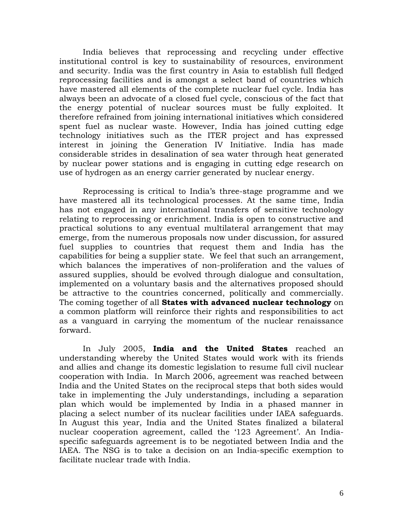India believes that reprocessing and recycling under effective institutional control is key to sustainability of resources, environment and security. India was the first country in Asia to establish full fledged reprocessing facilities and is amongst a select band of countries which have mastered all elements of the complete nuclear fuel cycle. India has always been an advocate of a closed fuel cycle, conscious of the fact that the energy potential of nuclear sources must be fully exploited. It therefore refrained from joining international initiatives which considered spent fuel as nuclear waste. However, India has joined cutting edge technology initiatives such as the ITER project and has expressed interest in joining the Generation IV Initiative. India has made considerable strides in desalination of sea water through heat generated by nuclear power stations and is engaging in cutting edge research on use of hydrogen as an energy carrier generated by nuclear energy.

Reprocessing is critical to India's three-stage programme and we have mastered all its technological processes. At the same time, India has not engaged in any international transfers of sensitive technology relating to reprocessing or enrichment. India is open to constructive and practical solutions to any eventual multilateral arrangement that may emerge, from the numerous proposals now under discussion, for assured fuel supplies to countries that request them and India has the capabilities for being a supplier state. We feel that such an arrangement, which balances the imperatives of non-proliferation and the values of assured supplies, should be evolved through dialogue and consultation, implemented on a voluntary basis and the alternatives proposed should be attractive to the countries concerned, politically and commercially. The coming together of all **States with advanced nuclear technology** on a common platform will reinforce their rights and responsibilities to act as a vanguard in carrying the momentum of the nuclear renaissance forward.

In July 2005, **India and the United States** reached an understanding whereby the United States would work with its friends and allies and change its domestic legislation to resume full civil nuclear cooperation with India. In March 2006, agreement was reached between India and the United States on the reciprocal steps that both sides would take in implementing the July understandings, including a separation plan which would be implemented by India in a phased manner in placing a select number of its nuclear facilities under IAEA safeguards. In August this year, India and the United States finalized a bilateral nuclear cooperation agreement, called the '123 Agreement'. An Indiaspecific safeguards agreement is to be negotiated between India and the IAEA. The NSG is to take a decision on an India-specific exemption to facilitate nuclear trade with India.